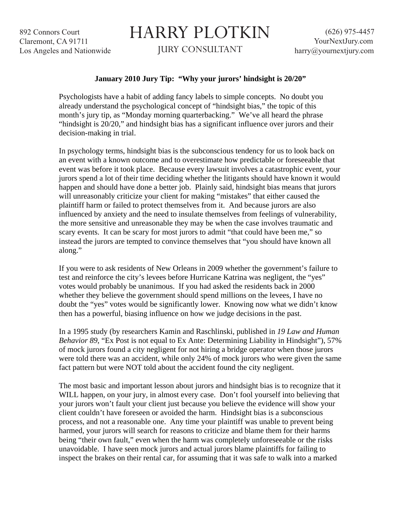892 Connors Court Claremont, CA 91711 Los Angeles and Nationwide

## HARRY PLOTKIN

JURY CONSULTANT

## **January 2010 Jury Tip: "Why your jurors' hindsight is 20/20"**

Psychologists have a habit of adding fancy labels to simple concepts. No doubt you already understand the psychological concept of "hindsight bias," the topic of this month's jury tip, as "Monday morning quarterbacking." We've all heard the phrase "hindsight is 20/20," and hindsight bias has a significant influence over jurors and their decision-making in trial.

In psychology terms, hindsight bias is the subconscious tendency for us to look back on an event with a known outcome and to overestimate how predictable or foreseeable that event was before it took place. Because every lawsuit involves a catastrophic event, your jurors spend a lot of their time deciding whether the litigants should have known it would happen and should have done a better job. Plainly said, hindsight bias means that jurors will unreasonably criticize your client for making "mistakes" that either caused the plaintiff harm or failed to protect themselves from it. And because jurors are also influenced by anxiety and the need to insulate themselves from feelings of vulnerability, the more sensitive and unreasonable they may be when the case involves traumatic and scary events. It can be scary for most jurors to admit "that could have been me," so instead the jurors are tempted to convince themselves that "you should have known all along."

If you were to ask residents of New Orleans in 2009 whether the government's failure to test and reinforce the city's levees before Hurricane Katrina was negligent, the "yes" votes would probably be unanimous. If you had asked the residents back in 2000 whether they believe the government should spend millions on the levees, I have no doubt the "yes" votes would be significantly lower. Knowing now what we didn't know then has a powerful, biasing influence on how we judge decisions in the past.

In a 1995 study (by researchers Kamin and Raschlinski, published in *19 Law and Human Behavior 89*, "Ex Post is not equal to Ex Ante: Determining Liability in Hindsight"), 57% of mock jurors found a city negligent for not hiring a bridge operator when those jurors were told there was an accident, while only 24% of mock jurors who were given the same fact pattern but were NOT told about the accident found the city negligent.

The most basic and important lesson about jurors and hindsight bias is to recognize that it WILL happen, on your jury, in almost every case. Don't fool yourself into believing that your jurors won't fault your client just because you believe the evidence will show your client couldn't have foreseen or avoided the harm. Hindsight bias is a subconscious process, and not a reasonable one. Any time your plaintiff was unable to prevent being harmed, your jurors will search for reasons to criticize and blame them for their harms being "their own fault," even when the harm was completely unforeseeable or the risks unavoidable. I have seen mock jurors and actual jurors blame plaintiffs for failing to inspect the brakes on their rental car, for assuming that it was safe to walk into a marked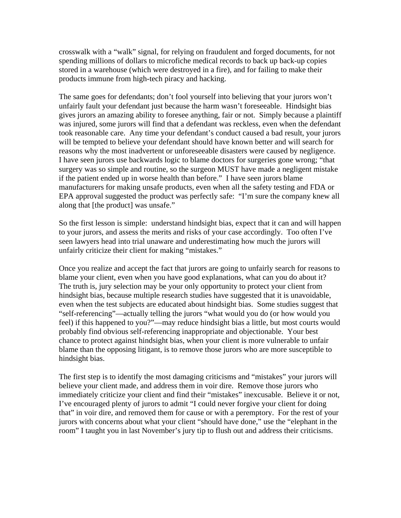crosswalk with a "walk" signal, for relying on fraudulent and forged documents, for not spending millions of dollars to microfiche medical records to back up back-up copies stored in a warehouse (which were destroyed in a fire), and for failing to make their products immune from high-tech piracy and hacking.

The same goes for defendants; don't fool yourself into believing that your jurors won't unfairly fault your defendant just because the harm wasn't foreseeable. Hindsight bias gives jurors an amazing ability to foresee anything, fair or not. Simply because a plaintiff was injured, some jurors will find that a defendant was reckless, even when the defendant took reasonable care. Any time your defendant's conduct caused a bad result, your jurors will be tempted to believe your defendant should have known better and will search for reasons why the most inadvertent or unforeseeable disasters were caused by negligence. I have seen jurors use backwards logic to blame doctors for surgeries gone wrong; "that surgery was so simple and routine, so the surgeon MUST have made a negligent mistake if the patient ended up in worse health than before." I have seen jurors blame manufacturers for making unsafe products, even when all the safety testing and FDA or EPA approval suggested the product was perfectly safe: "I'm sure the company knew all along that [the product] was unsafe."

So the first lesson is simple: understand hindsight bias, expect that it can and will happen to your jurors, and assess the merits and risks of your case accordingly. Too often I've seen lawyers head into trial unaware and underestimating how much the jurors will unfairly criticize their client for making "mistakes."

Once you realize and accept the fact that jurors are going to unfairly search for reasons to blame your client, even when you have good explanations, what can you do about it? The truth is, jury selection may be your only opportunity to protect your client from hindsight bias, because multiple research studies have suggested that it is unavoidable, even when the test subjects are educated about hindsight bias. Some studies suggest that "self-referencing"—actually telling the jurors "what would you do (or how would you feel) if this happened to you?"—may reduce hindsight bias a little, but most courts would probably find obvious self-referencing inappropriate and objectionable. Your best chance to protect against hindsight bias, when your client is more vulnerable to unfair blame than the opposing litigant, is to remove those jurors who are more susceptible to hindsight bias.

The first step is to identify the most damaging criticisms and "mistakes" your jurors will believe your client made, and address them in voir dire. Remove those jurors who immediately criticize your client and find their "mistakes" inexcusable. Believe it or not, I've encouraged plenty of jurors to admit "I could never forgive your client for doing that" in voir dire, and removed them for cause or with a peremptory. For the rest of your jurors with concerns about what your client "should have done," use the "elephant in the room" I taught you in last November's jury tip to flush out and address their criticisms.